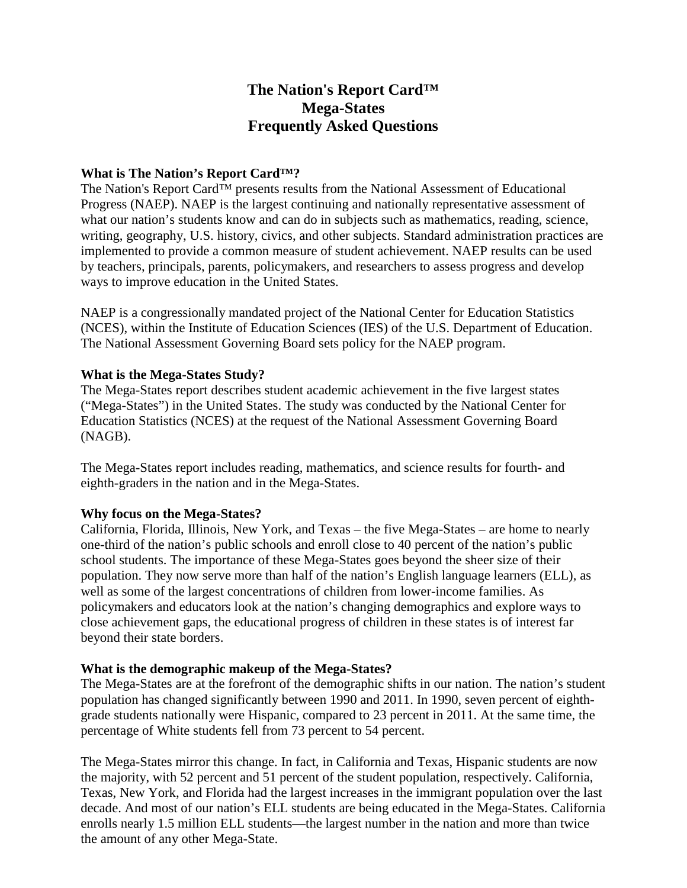# **The Nation's Report Card™ Mega-States Frequently Asked Questions**

#### **What is The Nation's Report Card™?**

The Nation's Report Card™ presents results from the National Assessment of Educational Progress (NAEP). NAEP is the largest continuing and nationally representative assessment of what our nation's students know and can do in subjects such as mathematics, reading, science, writing, geography, U.S. history, civics, and other subjects. Standard administration practices are implemented to provide a common measure of student achievement. NAEP results can be used by teachers, principals, parents, policymakers, and researchers to assess progress and develop ways to improve education in the United States.

NAEP is a congressionally mandated project of the National Center for Education Statistics (NCES), within the Institute of Education Sciences (IES) of the U.S. Department of Education. The National Assessment Governing Board sets policy for the NAEP program.

#### **What is the Mega-States Study?**

The Mega-States report describes student academic achievement in the five largest states ("Mega-States") in the United States. The study was conducted by the National Center for Education Statistics (NCES) at the request of the National Assessment Governing Board (NAGB).

The Mega-States report includes reading, mathematics, and science results for fourth- and eighth-graders in the nation and in the Mega-States.

#### **Why focus on the Mega-States?**

California, Florida, Illinois, New York, and Texas – the five Mega-States – are home to nearly one-third of the nation's public schools and enroll close to 40 percent of the nation's public school students. The importance of these Mega-States goes beyond the sheer size of their population. They now serve more than half of the nation's English language learners (ELL), as well as some of the largest concentrations of children from lower-income families. As policymakers and educators look at the nation's changing demographics and explore ways to close achievement gaps, the educational progress of children in these states is of interest far beyond their state borders.

#### **What is the demographic makeup of the Mega-States?**

The Mega-States are at the forefront of the demographic shifts in our nation. The nation's student population has changed significantly between 1990 and 2011. In 1990, seven percent of eighthgrade students nationally were Hispanic, compared to 23 percent in 2011. At the same time, the percentage of White students fell from 73 percent to 54 percent.

The Mega-States mirror this change. In fact, in California and Texas, Hispanic students are now the majority, with 52 percent and 51 percent of the student population, respectively. California, Texas, New York, and Florida had the largest increases in the immigrant population over the last decade. And most of our nation's ELL students are being educated in the Mega-States. California enrolls nearly 1.5 million ELL students—the largest number in the nation and more than twice the amount of any other Mega-State.